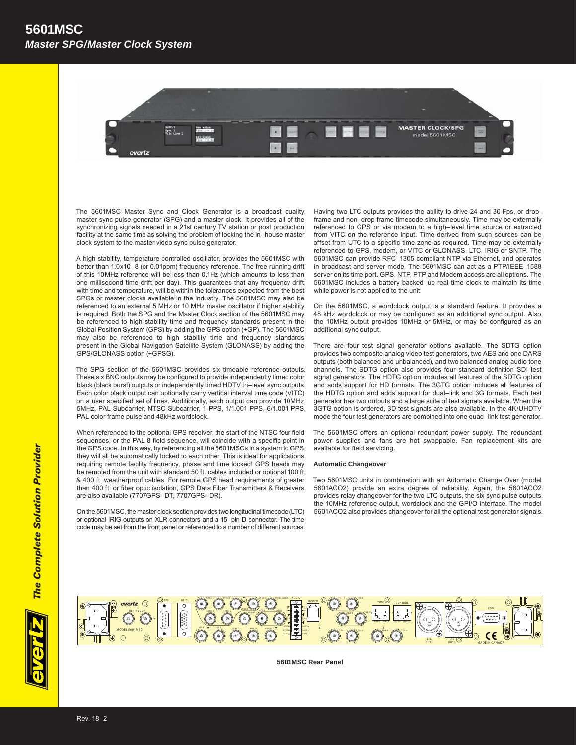## *Master SPG/Master Clock System* **5601MSC**



The 5601MSC Master Sync and Clock Generator is a broadcast quality, master sync pulse generator (SPG) and a master clock. It provides all of the synchronizing signals needed in a 21st century TV station or post production facility at the same time as solving the problem of locking the in–house master clock system to the master video sync pulse generator.

A high stability, temperature controlled oscillator, provides the 5601MSC with better than 1.0x10–8 (or 0.01ppm) frequency reference. The free running drift of this 10MHz reference will be less than 0.1Hz (which amounts to less than one millisecond time drift per day). This guarantees that any frequency drift, with time and temperature, will be within the tolerances expected from the best SPGs or master clocks available in the industry. The 5601MSC may also be referenced to an external 5 MHz or 10 MHz master oscillator if higher stability is required. Both the SPG and the Master Clock section of the 5601MSC may be referenced to high stability time and frequency standards present in the Global Position System (GPS) by adding the GPS option (+GP). The 5601MSC may also be referenced to high stability time and frequency standards present in the Global Navigation Satellite System (GLONASS) by adding the GPS/GLONASS option (+GPSG).

The SPG section of the 5601MSC provides six timeable reference outputs. These six BNC outputs may be configured to provide independently timed color black (black burst) outputs or independently timed HDTV tri–level sync outputs. Each color black output can optionally carry vertical interval time code (VITC) on a user specified set of lines. Additionally, each output can provide 10MHz, 5MHz, PAL Subcarrier, NTSC Subcarrier, 1 PPS, 1/1.001 PPS, 6/1.001 PPS, PAL color frame pulse and 48kHz wordclock.

When referenced to the optional GPS receiver, the start of the NTSC four field sequences, or the PAL 8 field sequence, will coincide with a specific point in the GPS code. In this way, by referencing all the 5601MSCs in a system to GPS, they will all be automatically locked to each other. This is ideal for applications requiring remote facility frequency, phase and time locked! GPS heads may be remoted from the unit with standard 50 ft. cables included or optional 100 ft. & 400 ft. weatherproof cables. For remote GPS head requirements of greater than 400 ft. or fiber optic isolation, GPS Data Fiber Transmitters & Receivers are also available (7707GPS–DT, 7707GPS–DR).

On the 5601MSC, the master clock section provides two longitudinal timecode (LTC) or optional IRIG outputs on XLR connectors and a 15–pin D connector. The time code may be set from the front panel or referenced to a number of different sources. Having two LTC outputs provides the ability to drive 24 and 30 Fps, or dropframe and non–drop frame timecode simultaneously. Time may be externally referenced to GPS or via modem to a high–level time source or extracted from VITC on the reference input. Time derived from such sources can be offset from UTC to a specific time zone as required. Time may be externally referenced to GPS, modem, or VITC or GLONASS, LTC, IRIG or SNTP. The 5601MSC can provide RFC–1305 compliant NTP via Ethernet, and operates in broadcast and server mode. The 5601MSC can act as a PTP/IEEE–1588 server on its time port. GPS, NTP, PTP and Modem access are all options. The 5601MSC includes a battery backed–up real time clock to maintain its time while power is not applied to the unit.

On the 5601MSC, a wordclock output is a standard feature. It provides a 48 kHz wordclock or may be configured as an additional sync output. Also, the 10MHz output provides 10MHz or 5MHz, or may be configured as an additional sync output.

There are four test signal generator options available. The SDTG option provides two composite analog video test generators, two AES and one DARS outputs (both balanced and unbalanced), and two balanced analog audio tone channels. The SDTG option also provides four standard definition SDI test signal generators. The HDTG option includes all features of the SDTG option and adds support for HD formats. The 3GTG option includes all features of the HDTG option and adds support for dual–link and 3G formats. Each test generator has two outputs and a large suite of test signals available. When the 3GTG option is ordered, 3D test signals are also available. In the 4K/UHDTV mode the four test generators are combined into one quad–link test generator.

The 5601MSC offers an optional redundant power supply. The redundant power supplies and fans are hot–swappable. Fan replacement kits are available for field servicing.

#### **Automatic Changeover**

Two 5601MSC units in combination with an Automatic Change Over (model 5601ACO2) provide an extra degree of reliability. Again, the 5601ACO2 provides relay changeover for the two LTC outputs, the six sync pulse outputs, the 10MHz reference output, wordclock and the GPI/O interface. The model 5601ACO2 also provides changeover for all the optional test generator signals.



**5601MSC Rear Panel**

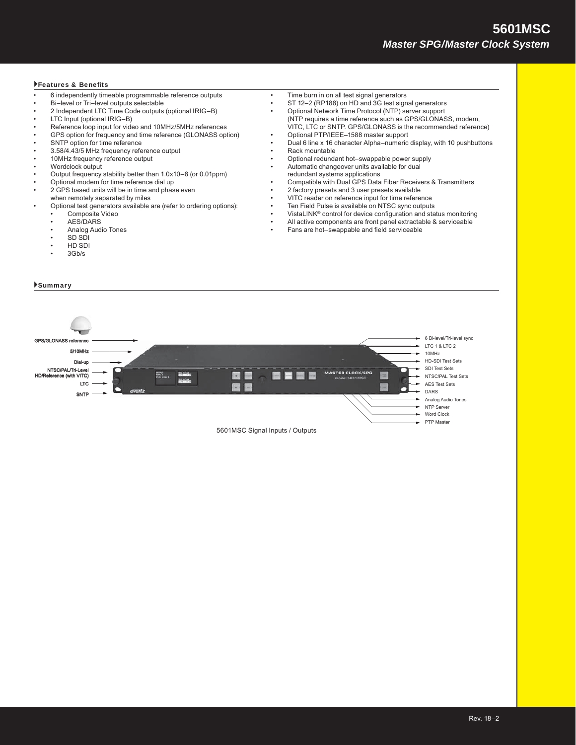# *Master SPG/Master Clock System* **5601MSC**

#### Features & Benefits

- 6 independently timeable programmable reference outputs
- Bi–level or Tri–level outputs selectable
- 2 Independent LTC Time Code outputs (optional IRIG–B)
- LTC Input (optional IRIG–B)
- Reference loop input for video and 10MHz/5MHz references
- GPS option for frequency and time reference (GLONASS option)
- SNTP option for time reference
- 3.58/4.43/5 MHz frequency reference output
- 10MHz frequency reference output
- Wordclock output
- Output frequency stability better than 1.0x10–8 (or 0.01ppm)
- Optional modem for time reference dial up
- 2 GPS based units will be in time and phase even
- when remotely separated by miles
- Optional test generators available are (refer to ordering options): Composite Video
	- AES/DARS
	-
	- Analog Audio Tones • SD SDI
	- HD SDI
	- 3Gb/s
	-
- Summary
- Time burn in on all test signal generators
- ST 12–2 (RP188) on HD and 3G test signal generators
- Optional Network Time Protocol (NTP) server support (NTP requires a time reference such as GPS/GLONASS, modem,
- VITC, LTC or SNTP. GPS/GLONASS is the recommended reference) • Optional PTP/IEEE–1588 master support
	- Dual 6 line x 16 character Alpha–numeric display, with 10 pushbuttons Rack mountable
- Optional redundant hot–swappable power supply
	- Automatic changeover units available for dual
	- redundant systems applications
	- Compatible with Dual GPS Data Fiber Receivers & Transmitters
	- 2 factory presets and 3 user presets available
	- VITC reader on reference input for time reference
- Ten Field Pulse is available on NTSC sync outputs
- VistaLINK<sup>®</sup> control for device configuration and status monitoring
- All active components are front panel extractable & serviceable
- Fans are hot–swappable and field serviceable

6 Bi-level/Tri-level sync **GPS/GLONASS re** LTC 1 & LTC 2 5/10MHz 10MHz HD-SDI Test Sets Dial-up SDI Test Sets NTSC/PAL/Tri-Level **MASTER CLOCK/SPG**  $\blacksquare$ m. NTSC/PAL Test Sets HD/Reference (with VITC) LTC AES Test Sets m DARS SNTP Analog Audio Tones NTP Server Word Clock PTP Master 5601MSC Signal Inputs / Outputs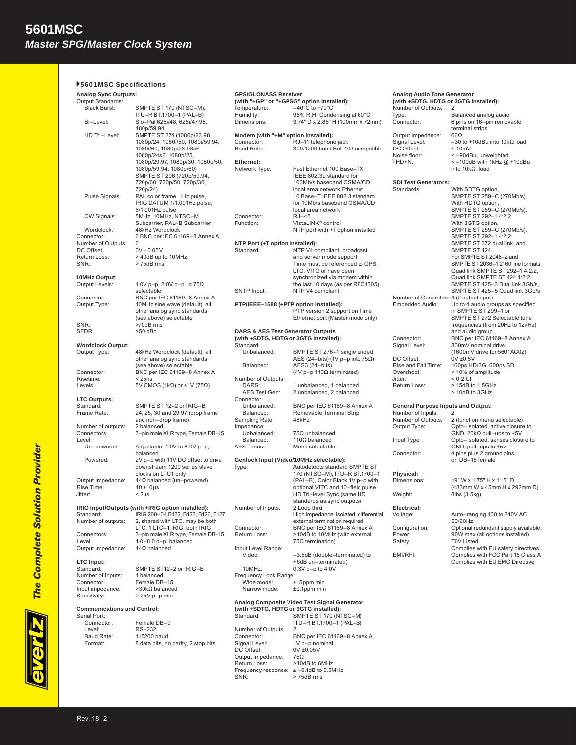| ▶5601MSC Specifications<br><b>Analog Sync Outputs:</b> |                                                                                         | <b>GPS/GLONASS Receiver</b>                  |                                                                                      | <b>Analog Audio Tone Generator</b>        |                                                                                                  |
|--------------------------------------------------------|-----------------------------------------------------------------------------------------|----------------------------------------------|--------------------------------------------------------------------------------------|-------------------------------------------|--------------------------------------------------------------------------------------------------|
| Output Standards:                                      |                                                                                         |                                              | (with "+GP" or "+GPSG" option installed):                                            |                                           | (with +SDTG, HDTG or 3GTG installed):                                                            |
| <b>Black Burst:</b>                                    | SMPTE ST 170 (NTSC-M),                                                                  | Temperature:                                 | $-40^{\circ}$ C to +70 $^{\circ}$ C                                                  | Number of Outputs:                        | 2                                                                                                |
|                                                        | ITU-R BT.1700-1 (PAL-B)                                                                 | Humidity:                                    | 95% R.H. Condensing at 60°C                                                          | Type:                                     | Balanced analog audio                                                                            |
| Bi-Level:                                              | Slo-Pal 625i/48, 625i/47.95,<br>480p/59.94                                              | Dimensions:                                  | 3.74" D x 2.85" H (100mm x 72mm)                                                     | Connector:                                | 6 pins on 16-pin removable<br>terminal strips                                                    |
| HD Tri-Level:                                          | SMPTE ST 274 (1080p/23.98,                                                              | Modem (with "+M" option installed):          |                                                                                      | Output Impedance:                         | $66\Omega$                                                                                       |
|                                                        | 1080p/24, 1080i/50, 1080i/59.94,<br>1080i/60, 1080p/23.98sF,                            | Connector:<br>Baud Rate:                     | RJ-11 telephone jack<br>300/1200 baud Bell 103 compatible                            | Signal Level:<br>DC Offset:               | $-30$ to +10dBu into 10k $\Omega$ load<br>< 10mV                                                 |
|                                                        | 1080p/24sF, 1080p/25,<br>1080p/29.97, 1080p/30, 1080p/50,                               | Ethernet:                                    |                                                                                      | Noise floor:<br>THD+N:                    | <-90dBu, unweighted<br>$\le$ -100dB with 1kHz @ +10dBu                                           |
|                                                        | 1080p/59.94, 1080p/60)<br>SMPTE ST 296 (720p/59.94,                                     | Network Type:                                | Fast Ethernet 100 Base-TX<br>IEEE 802.3u standard for                                |                                           | into $10k\Omega$ load                                                                            |
|                                                        | 720p/60, 720p/50, 720p/30,                                                              |                                              | 100Mb/s baseband CSMA/CD                                                             | <b>SDI Test Generators:</b>               |                                                                                                  |
|                                                        | 720p/24)                                                                                |                                              | local area network Ethernet                                                          | Standards:                                | With SDTG option,                                                                                |
| Pulse Signals:                                         | PAL color frame, 1Hz pulse,<br>IRIG DATUM 1/1.001Hz pulse,<br>6/1.001Hz pulse           |                                              | 10 Base-T IEEE 802.3 standard<br>for 10Mb/s baseband CSMA/CD<br>local area network   |                                           | SMPTE ST 259-C (270Mb/s)<br>With HDTG option,<br>SMPTE ST 259-C (270Mb/s),                       |
| CW Signals:                                            | 5MHz, 10MHz, NTSC-M<br>Subcarrier, PAL-B Subcarrier                                     | Connector:<br>Function:                      | $RJ-45$<br>VistaLINK <sup>®</sup> control                                            |                                           | SMPTE ST 292-1 4:2:2<br>With 3GTG option,                                                        |
| Wordclock:                                             | 48kHz Wordclock                                                                         |                                              | NTP port with +T option installed                                                    |                                           | SMPTE ST 259-C (270Mb/s),                                                                        |
| Connector:                                             | 6 BNC per IEC 61169-8 Annex A                                                           |                                              |                                                                                      |                                           | SMPTE ST 292-1 4:2:2,                                                                            |
| Number of Outputs:                                     | 6                                                                                       | NTP Port (+T option installed):              |                                                                                      |                                           | SMPTE ST 372 dual link, and                                                                      |
| DC Offset:                                             | $0V \pm 0.05V$                                                                          | Standard:                                    | NTP V4 compliant, broadcast                                                          |                                           | SMPTE ST 424                                                                                     |
| Return Loss:<br>SNR:                                   | > 40dB up to 10MHz<br>>75dB rms                                                         |                                              | and server mode support<br>Time must be referenced to GPS,<br>LTC. VITC or have been |                                           | For SMPTE ST 2048-2 and<br>SMPTE ST 2036-1 2160 line formats,<br>Quad link SMPTE ST 292-1 4:2:2. |
| 10MHz Output:                                          |                                                                                         |                                              | synchronized via modem within                                                        |                                           | Quad link SMPTE ST 424 4:2:2,                                                                    |
| Output Levels:                                         | 1.0V p-p, 2.0V p-p, in 75Ω,                                                             |                                              | the last 10 days (as per RFC1305)                                                    |                                           | SMPTE ST 425-3 Dual link 3Gb/s,<br>SMPTE ST 425-5 Quad link 3Gb/s                                |
| Connector:                                             | selectable<br>BNC per IEC 61169-8 Annex A                                               | SNTP Input:                                  | NTP V4 compliant                                                                     | Number of Generators:4 (2 outputs per)    |                                                                                                  |
| Output Type:                                           | 10MHz sine wave (default), all                                                          |                                              | PTP/IEEE-1588 (+PTP option installed):                                               | Embedded Audio:                           | Up to 4 audio groups as specified                                                                |
|                                                        | other analog sync standards<br>(see above) selectable                                   |                                              | PTP version 2 support on Time<br>Ethernet port (Master mode only)                    |                                           | in SMPTE ST 299-1 or<br>SMPTE ST 272 Selectable tone                                             |
| SNR:<br>SFDR:                                          | >70dB rms<br>$>50$ dBc                                                                  | <b>DARS &amp; AES Test Generator Outputs</b> |                                                                                      |                                           | frequencies (from 20Hz to 12kHz)<br>and audio group                                              |
|                                                        |                                                                                         | (with +SDTG, HDTG or 3GTG installed):        |                                                                                      | Connector:                                | BNC per IEC 61169-8 Annex A                                                                      |
| <b>Wordclock Output:</b>                               |                                                                                         | Standard:                                    |                                                                                      | Signal Level:                             | 800mV nominal drive                                                                              |
| Output Type:                                           | 48kHz Wordclock (default), all                                                          | Unbalanced:                                  | SMPTE ST 276-1 single ended                                                          |                                           | (1600mV drive for 5601AC02)                                                                      |
|                                                        | other analog sync standards                                                             |                                              | AES (24-bits) (1V p-p into $75\Omega$ )                                              | DC Offset:                                | $0V \pm 0.5V$                                                                                    |
| Connector:                                             | (see above) selectable<br>BNC per IEC 61169-8 Annex A                                   | Balanced:                                    | AES3 (24-bits)<br>(4V p-p 110Ω terminated)                                           | Rise and Fall Time:<br>Overshoot:         | 100ps HD/3G, 600ps SD<br>< 10% of amplitude                                                      |
| Risetime:                                              | $<$ 25 $ns$                                                                             | Number of Outputs:                           |                                                                                      | Jitter:                                   | $< 0.2$ UI                                                                                       |
| Levels:                                                | 5V CMOS (1k $\Omega$ ) or ±1V (75 $\Omega$ )                                            | DARS:                                        | 1 unbalanced, 1 balanced                                                             | Return Loss:                              | > 15dB to 1.5GHz                                                                                 |
| <b>LTC Outputs:</b>                                    |                                                                                         | AES Test Gen:<br>Connector:                  | 2 unbalanced, 2 balanced                                                             |                                           | > 10dB to 3GHz                                                                                   |
| Standard:                                              | SMPTE ST 12-2 or IRIG-B                                                                 | Unbalanced:                                  | BNC per IEC 61169-8 Annex A                                                          | <b>General Purpose Inputs and Output:</b> |                                                                                                  |
| Frame Rate:                                            | 24, 25, 30 and 29.97 (drop frame                                                        | Balanced:                                    | Removable Terminal Strip                                                             | Number of Inputs:                         | $\overline{2}$                                                                                   |
|                                                        | and non-drop frame)                                                                     | Sampling Rate:                               | 48kHz                                                                                | Number of Outputs:                        | 2 (function menu selectable)                                                                     |
| Number of outputs:<br>Connectors:                      | 2 balanced<br>3-pin male XLR type, Female DB-15                                         | Impedance:<br>Unbalanced:                    | $75\Omega$ unbalanced                                                                | Output Type:                              | Opto-isolated, active closure to<br>GND, 20 $k\Omega$ pull-ups to +5V                            |
| Level:                                                 |                                                                                         | Balanced:                                    | 110 $\Omega$ balanced                                                                | Input Type:                               | Opto-isolated, senses closure to                                                                 |
| Un-powered:                                            | Adjustable, 1.0V to 8.0V p-p,                                                           | <b>AES Tones:</b>                            | Menu selectable                                                                      |                                           | GND, pull-ups to +5V                                                                             |
| Powered:                                               | balanced<br>2V p-p with 11V DC offset to drive                                          |                                              | Genlock Input (Video/10MHz selectable):                                              | Connector:                                | 4 pins plus 2 ground pins<br>on DB-15 female                                                     |
|                                                        | downstream 1200 series slave                                                            | Type:                                        | Autodetects standard SMPTE ST                                                        |                                           |                                                                                                  |
|                                                        | clocks on LTC1 only                                                                     |                                              | 170 (NTSC-M), ITU-R BT.1700-1                                                        | Physical:                                 |                                                                                                  |
| Output Impedance:<br>Rise Time:                        | $44\Omega$ balanced (un-powered)<br>$40 \pm 10 \,\mu s$                                 |                                              | (PAL-B), Color Black 1V p-p with<br>optional VITC and 10-field pulse                 | Dimensions:                               | 19" W x 1.75" H x 11.5" D<br>(483mm W x 45mm H x 292mm D)                                        |
| Jitter:                                                | $<$ 2 $\mu$ s                                                                           |                                              | HD Tri-level Sync (same HD                                                           | Weight:                                   | 8lbs (3.5kg)                                                                                     |
|                                                        |                                                                                         |                                              | standards as sync outputs)                                                           |                                           |                                                                                                  |
| Standard:                                              | IRIG Input/Outputs (with +IRIG option installed):<br>IRIG 200-04 B122, B123, B126, B127 | Number of Inputs:                            | 2 Loop thru<br>High impedance, isolated, differential                                | Electrical:<br>Voltage:                   | Auto-ranging 100 to 240V AC,                                                                     |
| Number of outputs:                                     | 2, shared with LTC, may be both<br>LTC, 1 LTC-1 IRIG, both IRIG                         | Connector:                                   | external termination required<br>BNC per IEC 61169-8 Annex A                         | Configuration:                            | 50/60Hz<br>Optional redundant supply available                                                   |
| Connectors:<br>Level:                                  | 3-pin male XLR type, Female DB-15<br>$1.0-8.0$ p-p, balanced                            | Return Loss:                                 | >40dB to 10MHz (with external<br>$75\Omega$ termination)                             | Power:<br>Safety:                         | 90W max (all options installed)<br><b>TüV Listed</b>                                             |
| Output Impedance:                                      | $44\Omega$ balanced                                                                     | Input Level Range:<br>Video:                 | -3.5dB (double-terminated) to                                                        | EMI/RFI:                                  | Complies with EU safety directives<br>Complies with FCC Part 15 Class A                          |
| <b>LTC</b> Input:                                      |                                                                                         |                                              | +6dB un-terminated)                                                                  |                                           | Complies with EU EMC Directive                                                                   |
| Standard:                                              | SMPTE ST12-2 or IRIG-B                                                                  | 10MHz:                                       | $0.3V$ p-p to 4.0V                                                                   |                                           |                                                                                                  |
| Number of Inputs:<br>Connector:                        | 1 balanced<br>Female DB-15                                                              | Frequency Lock Range:<br>Wide mode:          | $±15$ ppm min                                                                        |                                           |                                                                                                  |
| Input impedance:                                       | $>30k\Omega$ balanced                                                                   | Narrow mode:                                 | $±0.1$ ppm min                                                                       |                                           |                                                                                                  |
| Sensitivity:                                           | $0.25V$ p-p min                                                                         |                                              |                                                                                      |                                           |                                                                                                  |
| <b>Communications and Control:</b>                     |                                                                                         | (with +SDTG, HDTG or 3GTG installed):        | Analog Composite Video Test Signal Generator                                         |                                           |                                                                                                  |
| Serial Port:                                           |                                                                                         | Standard:                                    | SMPTE ST 170 (NTSC-M)                                                                |                                           |                                                                                                  |
| Connector:                                             | Female DB-9                                                                             |                                              | ITU-R BT.1700-1 (PAL-B)                                                              |                                           |                                                                                                  |
| Level:                                                 | RS-232                                                                                  | Number of Outputs:                           | 2                                                                                    |                                           |                                                                                                  |
| Baud Rate:<br>Format:                                  | 115200 baud<br>8 data bits, no parity, 2 stop bits                                      | Connector:<br>Signal Level:                  | BNC per IEC 61169-8 Annex A<br>1V p-p nominal                                        |                                           |                                                                                                  |
|                                                        |                                                                                         | DC Offset:                                   | 0V ±0.05V                                                                            |                                           |                                                                                                  |
|                                                        |                                                                                         | Output Impedance:                            | $75\Omega$                                                                           |                                           |                                                                                                  |
|                                                        |                                                                                         | Return Loss:                                 | >40dB to 6MHz                                                                        |                                           |                                                                                                  |
|                                                        |                                                                                         | SNR:                                         | Frequency response: $\pm$ -0.1dB to 5.5MHz<br>> 75dB rms                             |                                           |                                                                                                  |
|                                                        |                                                                                         |                                              |                                                                                      |                                           |                                                                                                  |